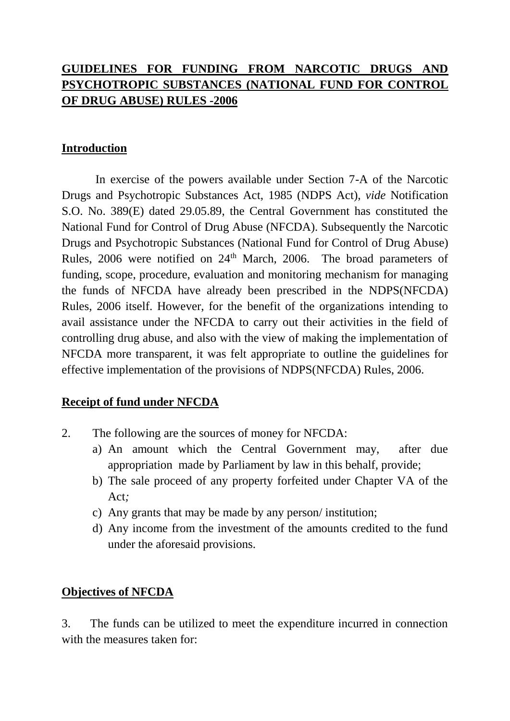# **GUIDELINES FOR FUNDING FROM NARCOTIC DRUGS AND PSYCHOTROPIC SUBSTANCES (NATIONAL FUND FOR CONTROL OF DRUG ABUSE) RULES -2006**

## **Introduction**

 In exercise of the powers available under Section 7-A of the Narcotic Drugs and Psychotropic Substances Act, 1985 (NDPS Act), *vide* Notification S.O. No. 389(E) dated 29.05.89, the Central Government has constituted the National Fund for Control of Drug Abuse (NFCDA). Subsequently the Narcotic Drugs and Psychotropic Substances (National Fund for Control of Drug Abuse) Rules, 2006 were notified on 24<sup>th</sup> March, 2006. The broad parameters of funding, scope, procedure, evaluation and monitoring mechanism for managing the funds of NFCDA have already been prescribed in the NDPS(NFCDA) Rules, 2006 itself. However, for the benefit of the organizations intending to avail assistance under the NFCDA to carry out their activities in the field of controlling drug abuse, and also with the view of making the implementation of NFCDA more transparent, it was felt appropriate to outline the guidelines for effective implementation of the provisions of NDPS(NFCDA) Rules, 2006.

#### **Receipt of fund under NFCDA**

- 2. The following are the sources of money for NFCDA:
	- a) An amount which the Central Government may, after due appropriation made by Parliament by law in this behalf, provide;
	- b) The sale proceed of any property forfeited under Chapter VA of the Act*;*
	- c) Any grants that may be made by any person/ institution;
	- d) Any income from the investment of the amounts credited to the fund under the aforesaid provisions.

#### **Objectives of NFCDA**

3. The funds can be utilized to meet the expenditure incurred in connection with the measures taken for: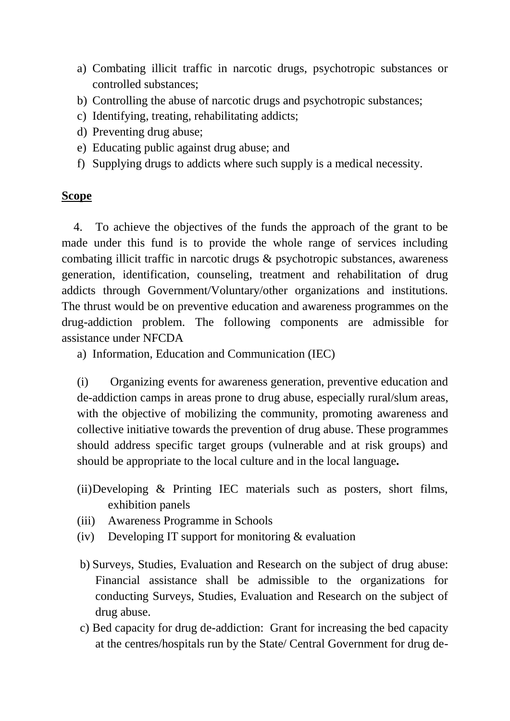- a) Combating illicit traffic in narcotic drugs, psychotropic substances or controlled substances;
- b) Controlling the abuse of narcotic drugs and psychotropic substances;
- c) Identifying, treating, rehabilitating addicts;
- d) Preventing drug abuse;
- e) Educating public against drug abuse; and
- f) Supplying drugs to addicts where such supply is a medical necessity.

#### **Scope**

 4. To achieve the objectives of the funds the approach of the grant to be made under this fund is to provide the whole range of services including combating illicit traffic in narcotic drugs & psychotropic substances, awareness generation, identification, counseling, treatment and rehabilitation of drug addicts through Government/Voluntary/other organizations and institutions. The thrust would be on preventive education and awareness programmes on the drug-addiction problem. The following components are admissible for assistance under NFCDA

a) Information, Education and Communication (IEC)

(i)Organizing events for awareness generation, preventive education and de-addiction camps in areas prone to drug abuse, especially rural/slum areas, with the objective of mobilizing the community, promoting awareness and collective initiative towards the prevention of drug abuse. These programmes should address specific target groups (vulnerable and at risk groups) and should be appropriate to the local culture and in the local language*.*

- (ii)Developing & Printing IEC materials such as posters, short films, exhibition panels
- (iii) Awareness Programme in Schools
- (iv) Developing IT support for monitoring  $&$  evaluation
- b) Surveys, Studies, Evaluation and Research on the subject of drug abuse: Financial assistance shall be admissible to the organizations for conducting Surveys, Studies, Evaluation and Research on the subject of drug abuse.
- c) Bed capacity for drug de-addiction: Grant for increasing the bed capacity at the centres/hospitals run by the State/ Central Government for drug de-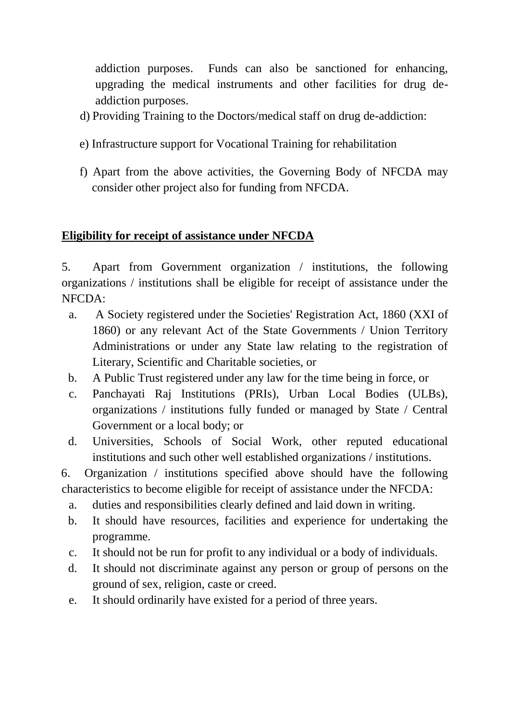addiction purposes. Funds can also be sanctioned for enhancing, upgrading the medical instruments and other facilities for drug deaddiction purposes.

- d) Providing Training to the Doctors/medical staff on drug de-addiction:
- e) Infrastructure support for Vocational Training for rehabilitation
- f) Apart from the above activities, the Governing Body of NFCDA may consider other project also for funding from NFCDA.

# **Eligibility for receipt of assistance under NFCDA**

5. Apart from Government organization / institutions, the following organizations / institutions shall be eligible for receipt of assistance under the NFCDA:

- a. A Society registered under the Societies' Registration Act, 1860 (XXI of 1860) or any relevant Act of the State Governments / Union Territory Administrations or under any State law relating to the registration of Literary, Scientific and Charitable societies, or
- b. A Public Trust registered under any law for the time being in force, or
- c. Panchayati Raj Institutions (PRIs), Urban Local Bodies (ULBs), organizations / institutions fully funded or managed by State / Central Government or a local body; or
- d. Universities, Schools of Social Work, other reputed educational institutions and such other well established organizations / institutions.

 6. Organization / institutions specified above should have the following characteristics to become eligible for receipt of assistance under the NFCDA:

- a. duties and responsibilities clearly defined and laid down in writing.
- b. It should have resources, facilities and experience for undertaking the programme.
- c. It should not be run for profit to any individual or a body of individuals.
- d. It should not discriminate against any person or group of persons on the ground of sex, religion, caste or creed.
- e. It should ordinarily have existed for a period of three years.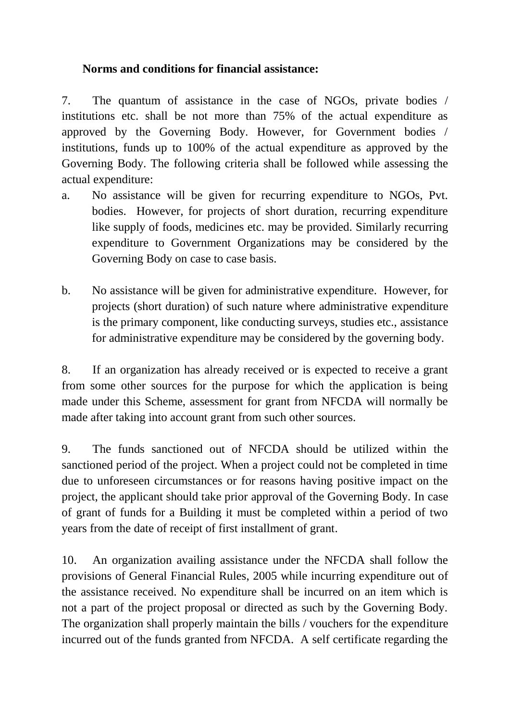## **Norms and conditions for financial assistance:**

7. The quantum of assistance in the case of NGOs, private bodies / institutions etc. shall be not more than 75% of the actual expenditure as approved by the Governing Body. However, for Government bodies / institutions, funds up to 100% of the actual expenditure as approved by the Governing Body. The following criteria shall be followed while assessing the actual expenditure:

- a. No assistance will be given for recurring expenditure to NGOs, Pvt. bodies. However, for projects of short duration, recurring expenditure like supply of foods, medicines etc. may be provided. Similarly recurring expenditure to Government Organizations may be considered by the Governing Body on case to case basis.
- b. No assistance will be given for administrative expenditure. However, for projects (short duration) of such nature where administrative expenditure is the primary component, like conducting surveys, studies etc., assistance for administrative expenditure may be considered by the governing body.

8. If an organization has already received or is expected to receive a grant from some other sources for the purpose for which the application is being made under this Scheme, assessment for grant from NFCDA will normally be made after taking into account grant from such other sources.

9. The funds sanctioned out of NFCDA should be utilized within the sanctioned period of the project. When a project could not be completed in time due to unforeseen circumstances or for reasons having positive impact on the project, the applicant should take prior approval of the Governing Body. In case of grant of funds for a Building it must be completed within a period of two years from the date of receipt of first installment of grant.

10. An organization availing assistance under the NFCDA shall follow the provisions of General Financial Rules, 2005 while incurring expenditure out of the assistance received. No expenditure shall be incurred on an item which is not a part of the project proposal or directed as such by the Governing Body. The organization shall properly maintain the bills / vouchers for the expenditure incurred out of the funds granted from NFCDA. A self certificate regarding the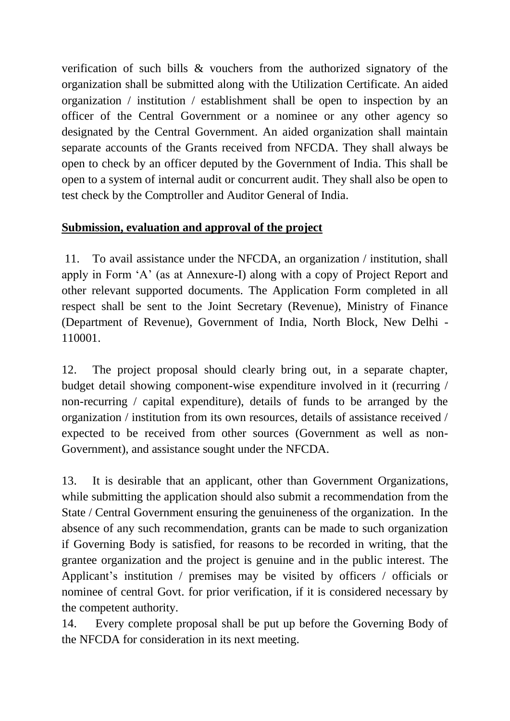verification of such bills & vouchers from the authorized signatory of the organization shall be submitted along with the Utilization Certificate. An aided organization / institution / establishment shall be open to inspection by an officer of the Central Government or a nominee or any other agency so designated by the Central Government. An aided organization shall maintain separate accounts of the Grants received from NFCDA. They shall always be open to check by an officer deputed by the Government of India. This shall be open to a system of internal audit or concurrent audit. They shall also be open to test check by the Comptroller and Auditor General of India.

## **Submission, evaluation and approval of the project**

11. To avail assistance under the NFCDA, an organization / institution, shall apply in Form 'A' (as at Annexure-I) along with a copy of Project Report and other relevant supported documents. The Application Form completed in all respect shall be sent to the Joint Secretary (Revenue), Ministry of Finance (Department of Revenue), Government of India, North Block, New Delhi - 110001.

12. The project proposal should clearly bring out, in a separate chapter, budget detail showing component-wise expenditure involved in it (recurring / non-recurring / capital expenditure), details of funds to be arranged by the organization / institution from its own resources, details of assistance received / expected to be received from other sources (Government as well as non-Government), and assistance sought under the NFCDA.

13. It is desirable that an applicant, other than Government Organizations, while submitting the application should also submit a recommendation from the State / Central Government ensuring the genuineness of the organization. In the absence of any such recommendation, grants can be made to such organization if Governing Body is satisfied, for reasons to be recorded in writing, that the grantee organization and the project is genuine and in the public interest. The Applicant's institution / premises may be visited by officers / officials or nominee of central Govt. for prior verification, if it is considered necessary by the competent authority.

14. Every complete proposal shall be put up before the Governing Body of the NFCDA for consideration in its next meeting.